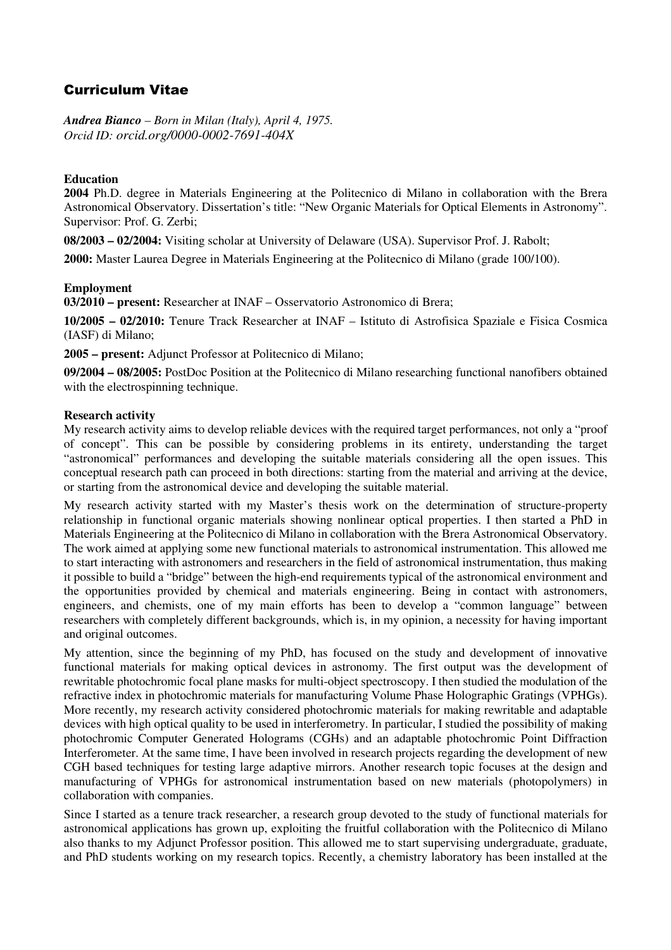# Curriculum Vitae

*Andrea Bianco – Born in Milan (Italy), April 4, 1975. Orcid ID: orcid.org/0000-0002-7691-404X*

## **Education**

**2004** Ph.D. degree in Materials Engineering at the Politecnico di Milano in collaboration with the Brera Astronomical Observatory. Dissertation's title: "New Organic Materials for Optical Elements in Astronomy". Supervisor: Prof. G. Zerbi;

**08/2003 – 02/2004:** Visiting scholar at University of Delaware (USA). Supervisor Prof. J. Rabolt;

**2000:** Master Laurea Degree in Materials Engineering at the Politecnico di Milano (grade 100/100).

## **Employment**

**03/2010 – present:** Researcher at INAF – Osservatorio Astronomico di Brera;

**10/2005 – 02/2010:** Tenure Track Researcher at INAF – Istituto di Astrofisica Spaziale e Fisica Cosmica (IASF) di Milano;

**2005 – present:** Adjunct Professor at Politecnico di Milano;

**09/2004 – 08/2005:** PostDoc Position at the Politecnico di Milano researching functional nanofibers obtained with the electrospinning technique.

## **Research activity**

My research activity aims to develop reliable devices with the required target performances, not only a "proof of concept". This can be possible by considering problems in its entirety, understanding the target "astronomical" performances and developing the suitable materials considering all the open issues. This conceptual research path can proceed in both directions: starting from the material and arriving at the device, or starting from the astronomical device and developing the suitable material.

My research activity started with my Master's thesis work on the determination of structure-property relationship in functional organic materials showing nonlinear optical properties. I then started a PhD in Materials Engineering at the Politecnico di Milano in collaboration with the Brera Astronomical Observatory. The work aimed at applying some new functional materials to astronomical instrumentation. This allowed me to start interacting with astronomers and researchers in the field of astronomical instrumentation, thus making it possible to build a "bridge" between the high-end requirements typical of the astronomical environment and the opportunities provided by chemical and materials engineering. Being in contact with astronomers, engineers, and chemists, one of my main efforts has been to develop a "common language" between researchers with completely different backgrounds, which is, in my opinion, a necessity for having important and original outcomes.

My attention, since the beginning of my PhD, has focused on the study and development of innovative functional materials for making optical devices in astronomy. The first output was the development of rewritable photochromic focal plane masks for multi-object spectroscopy. I then studied the modulation of the refractive index in photochromic materials for manufacturing Volume Phase Holographic Gratings (VPHGs). More recently, my research activity considered photochromic materials for making rewritable and adaptable devices with high optical quality to be used in interferometry. In particular, I studied the possibility of making photochromic Computer Generated Holograms (CGHs) and an adaptable photochromic Point Diffraction Interferometer. At the same time, I have been involved in research projects regarding the development of new CGH based techniques for testing large adaptive mirrors. Another research topic focuses at the design and manufacturing of VPHGs for astronomical instrumentation based on new materials (photopolymers) in collaboration with companies.

Since I started as a tenure track researcher, a research group devoted to the study of functional materials for astronomical applications has grown up, exploiting the fruitful collaboration with the Politecnico di Milano also thanks to my Adjunct Professor position. This allowed me to start supervising undergraduate, graduate, and PhD students working on my research topics. Recently, a chemistry laboratory has been installed at the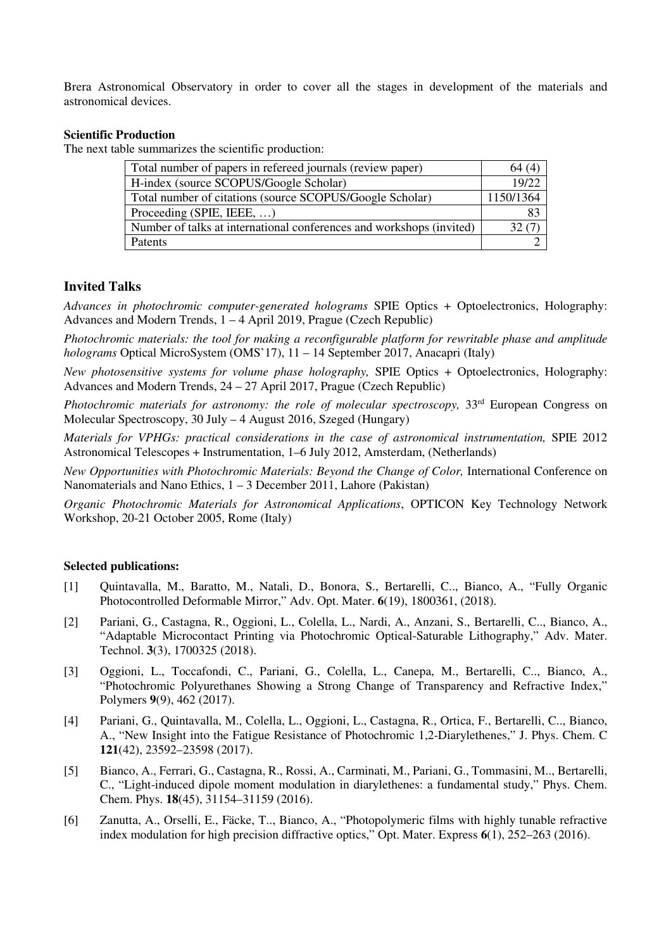Brera Astronomical Observatory in order to cover all the stages in development of the materials and astronomical devices.

#### **Scientific Production**

The next table summarizes the scientific production:

| Total number of papers in refereed journals (review paper)           | 64 (4)    |
|----------------------------------------------------------------------|-----------|
| H-index (source SCOPUS/Google Scholar)                               | 19/22     |
| Total number of citations (source SCOPUS/Google Scholar)             | 1150/1364 |
| Proceeding (SPIE, IEEE, $\dots$ )                                    | 83        |
| Number of talks at international conferences and workshops (invited) | 32 (7)    |
| Patents                                                              |           |

#### **Invited Talks**

*Advances in photochromic computer-generated holograms* SPIE Optics + Optoelectronics, Holography: Advances and Modern Trends, 1 – 4 April 2019, Prague (Czech Republic)

*Photochromic materials: the tool for making a reconfigurable platform for rewritable phase and amplitude holograms* Optical MicroSystem (OMS'17), 11 – 14 September 2017, Anacapri (Italy)

*New photosensitive systems for volume phase holography,* SPIE Optics + Optoelectronics, Holography: Advances and Modern Trends, 24 – 27 April 2017, Prague (Czech Republic)

*Photochromic materials for astronomy: the role of molecular spectroscopy,*  $33<sup>rd</sup>$  European Congress on Molecular Spectroscopy, 30 July – 4 August 2016, Szeged (Hungary)

*Materials for VPHGs: practical considerations in the case of astronomical instrumentation,* SPIE 2012 Astronomical Telescopes + Instrumentation, 1–6 July 2012, Amsterdam, (Netherlands)

*New Opportunities with Photochromic Materials: Beyond the Change of Color, International Conference on* Nanomaterials and Nano Ethics, 1 – 3 December 2011, Lahore (Pakistan)

*Organic Photochromic Materials for Astronomical Applications*, OPTICON Key Technology Network Workshop, 20-21 October 2005, Rome (Italy)

#### **Selected publications:**

- [1] Quintavalla, M., Baratto, M., Natali, D., Bonora, S., Bertarelli, C.., Bianco, A., "Fully Organic Photocontrolled Deformable Mirror," Adv. Opt. Mater. **6**(19), 1800361, (2018).
- [2] Pariani, G., Castagna, R., Oggioni, L., Colella, L., Nardi, A., Anzani, S., Bertarelli, C.., Bianco, A., "Adaptable Microcontact Printing via Photochromic Optical-Saturable Lithography," Adv. Mater. Technol. **3**(3), 1700325 (2018).
- [3] Oggioni, L., Toccafondi, C., Pariani, G., Colella, L., Canepa, M., Bertarelli, C.., Bianco, A., "Photochromic Polyurethanes Showing a Strong Change of Transparency and Refractive Index," Polymers **9**(9), 462 (2017).
- [4] Pariani, G., Quintavalla, M., Colella, L., Oggioni, L., Castagna, R., Ortica, F., Bertarelli, C.., Bianco, A., "New Insight into the Fatigue Resistance of Photochromic 1,2-Diarylethenes," J. Phys. Chem. C **121**(42), 23592–23598 (2017).
- [5] Bianco, A., Ferrari, G., Castagna, R., Rossi, A., Carminati, M., Pariani, G., Tommasini, M.., Bertarelli, C., "Light-induced dipole moment modulation in diarylethenes: a fundamental study," Phys. Chem. Chem. Phys. **18**(45), 31154–31159 (2016).
- [6] Zanutta, A., Orselli, E., Fäcke, T.., Bianco, A., "Photopolymeric films with highly tunable refractive index modulation for high precision diffractive optics," Opt. Mater. Express **6**(1), 252–263 (2016).